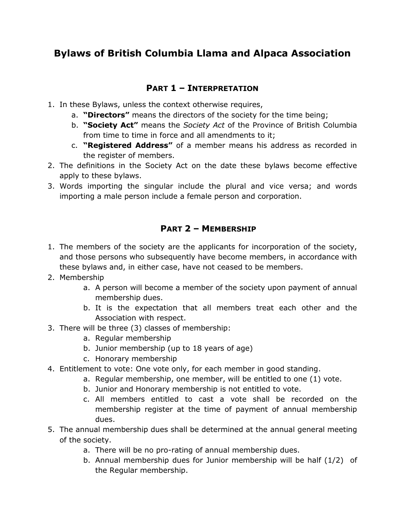# **Bylaws of British Columbia Llama and Alpaca Association**

# **PART 1 – INTERPRETATION**

- 1. In these Bylaws, unless the context otherwise requires,
	- a. **"Directors"** means the directors of the society for the time being;
	- b. **"Society Act"** means the *Society Act* of the Province of British Columbia from time to time in force and all amendments to it;
	- c. **"Registered Address"** of a member means his address as recorded in the register of members.
- 2. The definitions in the Society Act on the date these bylaws become effective apply to these bylaws.
- 3. Words importing the singular include the plural and vice versa; and words importing a male person include a female person and corporation.

## **PART 2 – MEMBERSHIP**

- 1. The members of the society are the applicants for incorporation of the society, and those persons who subsequently have become members, in accordance with these bylaws and, in either case, have not ceased to be members.
- 2. Membership
	- a. A person will become a member of the society upon payment of annual membership dues.
	- b. It is the expectation that all members treat each other and the Association with respect.
- 3. There will be three (3) classes of membership:
	- a. Regular membership
	- b. Junior membership (up to 18 years of age)
	- c. Honorary membership
- 4. Entitlement to vote: One vote only, for each member in good standing.
	- a. Regular membership, one member, will be entitled to one (1) vote.
		- b. Junior and Honorary membership is not entitled to vote.
		- c. All members entitled to cast a vote shall be recorded on the membership register at the time of payment of annual membership dues.
- 5. The annual membership dues shall be determined at the annual general meeting of the society.
	- a. There will be no pro-rating of annual membership dues.
	- b. Annual membership dues for Junior membership will be half (1/2) of the Regular membership.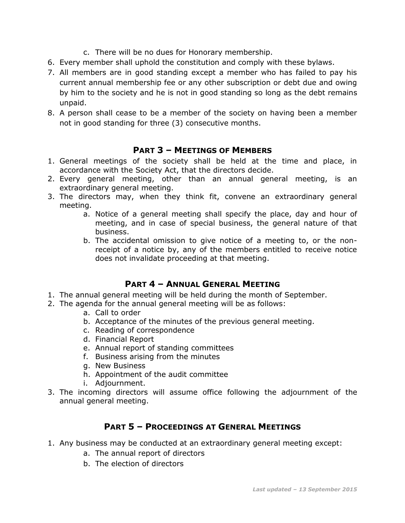- c. There will be no dues for Honorary membership.
- 6. Every member shall uphold the constitution and comply with these bylaws.
- 7. All members are in good standing except a member who has failed to pay his current annual membership fee or any other subscription or debt due and owing by him to the society and he is not in good standing so long as the debt remains unpaid.
- 8. A person shall cease to be a member of the society on having been a member not in good standing for three (3) consecutive months.

### **PART 3 – MEETINGS OF MEMBERS**

- 1. General meetings of the society shall be held at the time and place, in accordance with the Society Act, that the directors decide.
- 2. Every general meeting, other than an annual general meeting, is an extraordinary general meeting.
- 3. The directors may, when they think fit, convene an extraordinary general meeting.
	- a. Notice of a general meeting shall specify the place, day and hour of meeting, and in case of special business, the general nature of that business.
	- b. The accidental omission to give notice of a meeting to, or the nonreceipt of a notice by, any of the members entitled to receive notice does not invalidate proceeding at that meeting.

### **PART 4 – ANNUAL GENERAL MEETING**

- 1. The annual general meeting will be held during the month of September.
- 2. The agenda for the annual general meeting will be as follows:
	- a. Call to order
	- b. Acceptance of the minutes of the previous general meeting.
	- c. Reading of correspondence
	- d. Financial Report
	- e. Annual report of standing committees
	- f. Business arising from the minutes
	- g. New Business
	- h. Appointment of the audit committee
	- i. Adjournment.
- 3. The incoming directors will assume office following the adjournment of the annual general meeting.

### **PART 5 – PROCEEDINGS AT GENERAL MEETINGS**

- 1. Any business may be conducted at an extraordinary general meeting except:
	- a. The annual report of directors
	- b. The election of directors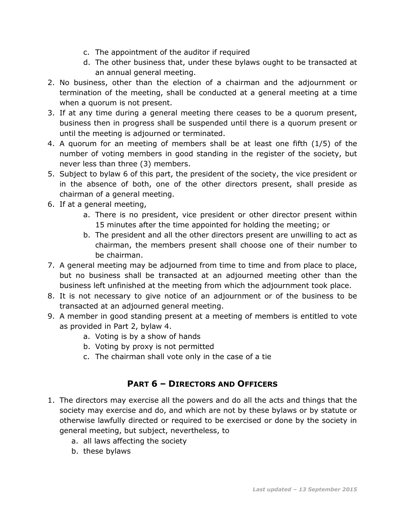- c. The appointment of the auditor if required
- d. The other business that, under these bylaws ought to be transacted at an annual general meeting.
- 2. No business, other than the election of a chairman and the adjournment or termination of the meeting, shall be conducted at a general meeting at a time when a quorum is not present.
- 3. If at any time during a general meeting there ceases to be a quorum present, business then in progress shall be suspended until there is a quorum present or until the meeting is adjourned or terminated.
- 4. A quorum for an meeting of members shall be at least one fifth (1/5) of the number of voting members in good standing in the register of the society, but never less than three (3) members.
- 5. Subject to bylaw 6 of this part, the president of the society, the vice president or in the absence of both, one of the other directors present, shall preside as chairman of a general meeting.
- 6. If at a general meeting,
	- a. There is no president, vice president or other director present within 15 minutes after the time appointed for holding the meeting; or
	- b. The president and all the other directors present are unwilling to act as chairman, the members present shall choose one of their number to be chairman.
- 7. A general meeting may be adjourned from time to time and from place to place, but no business shall be transacted at an adjourned meeting other than the business left unfinished at the meeting from which the adjournment took place.
- 8. It is not necessary to give notice of an adjournment or of the business to be transacted at an adjourned general meeting.
- 9. A member in good standing present at a meeting of members is entitled to vote as provided in Part 2, bylaw 4.
	- a. Voting is by a show of hands
	- b. Voting by proxy is not permitted
	- c. The chairman shall vote only in the case of a tie

# **PART 6 – DIRECTORS AND OFFICERS**

- 1. The directors may exercise all the powers and do all the acts and things that the society may exercise and do, and which are not by these bylaws or by statute or otherwise lawfully directed or required to be exercised or done by the society in general meeting, but subject, nevertheless, to
	- a. all laws affecting the society
	- b. these bylaws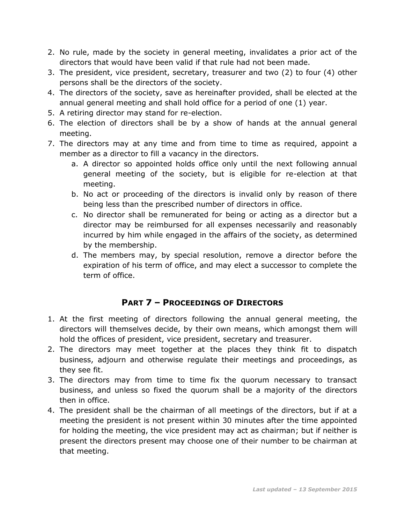- 2. No rule, made by the society in general meeting, invalidates a prior act of the directors that would have been valid if that rule had not been made.
- 3. The president, vice president, secretary, treasurer and two (2) to four (4) other persons shall be the directors of the society.
- 4. The directors of the society, save as hereinafter provided, shall be elected at the annual general meeting and shall hold office for a period of one (1) year.
- 5. A retiring director may stand for re-election.
- 6. The election of directors shall be by a show of hands at the annual general meeting.
- 7. The directors may at any time and from time to time as required, appoint a member as a director to fill a vacancy in the directors.
	- a. A director so appointed holds office only until the next following annual general meeting of the society, but is eligible for re-election at that meeting.
	- b. No act or proceeding of the directors is invalid only by reason of there being less than the prescribed number of directors in office.
	- c. No director shall be remunerated for being or acting as a director but a director may be reimbursed for all expenses necessarily and reasonably incurred by him while engaged in the affairs of the society, as determined by the membership.
	- d. The members may, by special resolution, remove a director before the expiration of his term of office, and may elect a successor to complete the term of office.

# **PART 7 – PROCEEDINGS OF DIRECTORS**

- 1. At the first meeting of directors following the annual general meeting, the directors will themselves decide, by their own means, which amongst them will hold the offices of president, vice president, secretary and treasurer.
- 2. The directors may meet together at the places they think fit to dispatch business, adjourn and otherwise regulate their meetings and proceedings, as they see fit.
- 3. The directors may from time to time fix the quorum necessary to transact business, and unless so fixed the quorum shall be a majority of the directors then in office.
- 4. The president shall be the chairman of all meetings of the directors, but if at a meeting the president is not present within 30 minutes after the time appointed for holding the meeting, the vice president may act as chairman; but if neither is present the directors present may choose one of their number to be chairman at that meeting.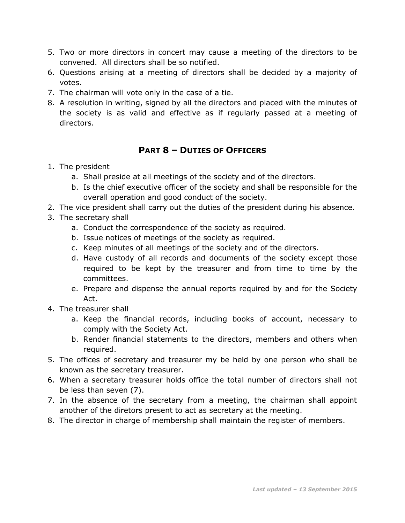- 5. Two or more directors in concert may cause a meeting of the directors to be convened. All directors shall be so notified.
- 6. Questions arising at a meeting of directors shall be decided by a majority of votes.
- 7. The chairman will vote only in the case of a tie.
- 8. A resolution in writing, signed by all the directors and placed with the minutes of the society is as valid and effective as if regularly passed at a meeting of directors.

# **PART 8 – DUTIES OF OFFICERS**

### 1. The president

- a. Shall preside at all meetings of the society and of the directors.
- b. Is the chief executive officer of the society and shall be responsible for the overall operation and good conduct of the society.
- 2. The vice president shall carry out the duties of the president during his absence.
- 3. The secretary shall
	- a. Conduct the correspondence of the society as required.
	- b. Issue notices of meetings of the society as required.
	- c. Keep minutes of all meetings of the society and of the directors.
	- d. Have custody of all records and documents of the society except those required to be kept by the treasurer and from time to time by the committees.
	- e. Prepare and dispense the annual reports required by and for the Society Act.
- 4. The treasurer shall
	- a. Keep the financial records, including books of account, necessary to comply with the Society Act.
	- b. Render financial statements to the directors, members and others when required.
- 5. The offices of secretary and treasurer my be held by one person who shall be known as the secretary treasurer.
- 6. When a secretary treasurer holds office the total number of directors shall not be less than seven (7).
- 7. In the absence of the secretary from a meeting, the chairman shall appoint another of the diretors present to act as secretary at the meeting.
- 8. The director in charge of membership shall maintain the register of members.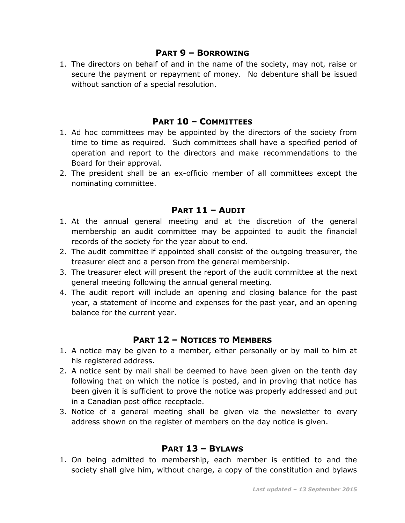#### **PART 9 – BORROWING**

1. The directors on behalf of and in the name of the society, may not, raise or secure the payment or repayment of money. No debenture shall be issued without sanction of a special resolution.

#### **PART 10 – COMMITTEES**

- 1. Ad hoc committees may be appointed by the directors of the society from time to time as required. Such committees shall have a specified period of operation and report to the directors and make recommendations to the Board for their approval.
- 2. The president shall be an ex-officio member of all committees except the nominating committee.

### **PART 11 – AUDIT**

- 1. At the annual general meeting and at the discretion of the general membership an audit committee may be appointed to audit the financial records of the society for the year about to end.
- 2. The audit committee if appointed shall consist of the outgoing treasurer, the treasurer elect and a person from the general membership.
- 3. The treasurer elect will present the report of the audit committee at the next general meeting following the annual general meeting.
- 4. The audit report will include an opening and closing balance for the past year, a statement of income and expenses for the past year, and an opening balance for the current year.

### **PART 12 – NOTICES TO MEMBERS**

- 1. A notice may be given to a member, either personally or by mail to him at his registered address.
- 2. A notice sent by mail shall be deemed to have been given on the tenth day following that on which the notice is posted, and in proving that notice has been given it is sufficient to prove the notice was properly addressed and put in a Canadian post office receptacle.
- 3. Notice of a general meeting shall be given via the newsletter to every address shown on the register of members on the day notice is given.

### **PART 13 – BYLAWS**

1. On being admitted to membership, each member is entitled to and the society shall give him, without charge, a copy of the constitution and bylaws